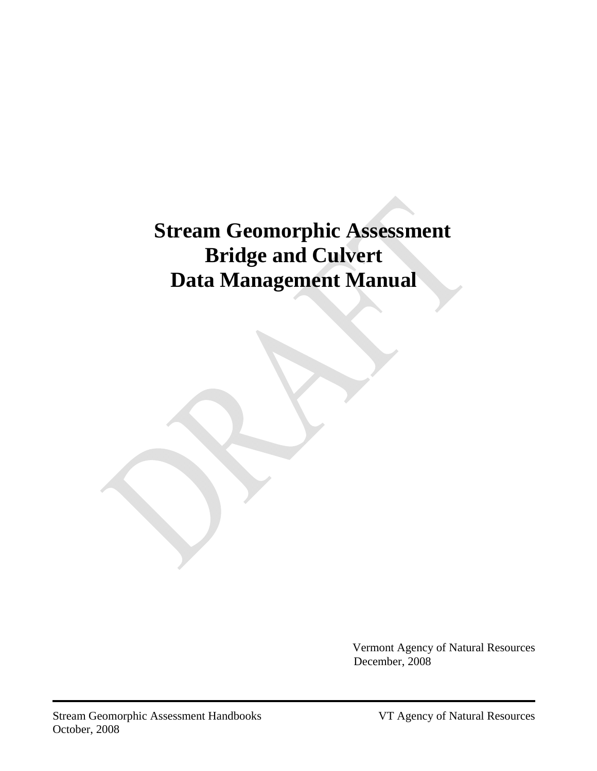# **Stream Geomorphic Assessment Bridge and Culvert Data Management Manual**

Vermont Agency of Natural Resources December, 2008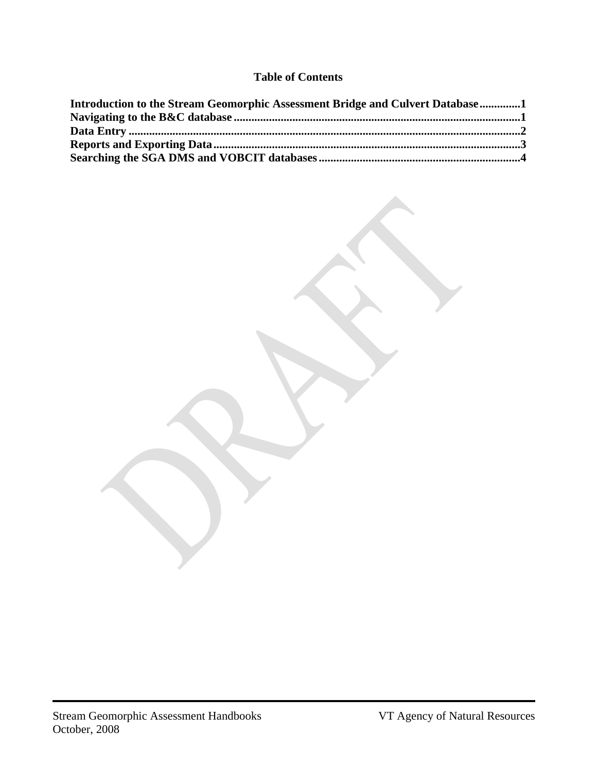### **Table of Contents**

| Introduction to the Stream Geomorphic Assessment Bridge and Culvert Database1 |  |
|-------------------------------------------------------------------------------|--|
|                                                                               |  |
|                                                                               |  |
|                                                                               |  |
|                                                                               |  |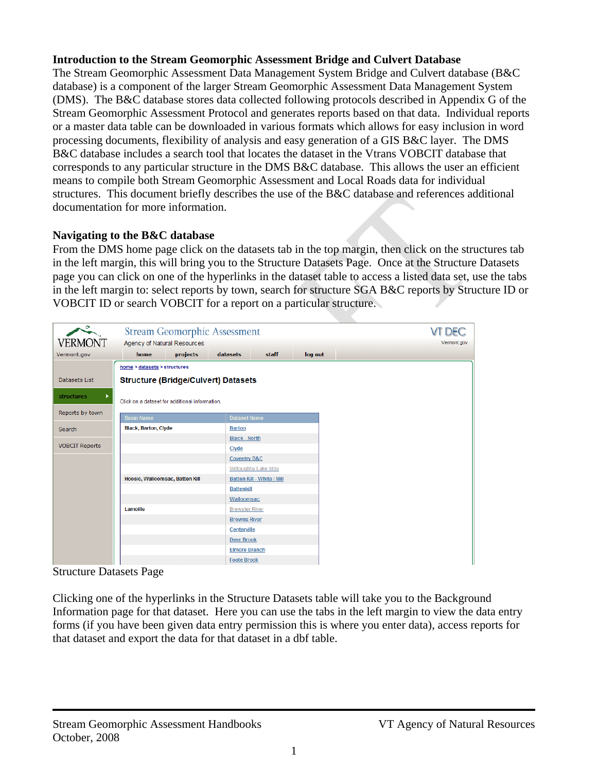#### <span id="page-2-1"></span><span id="page-2-0"></span>**Introduction to the Stream Geomorphic Assessment Bridge and Culvert Database**

The Stream Geomorphic Assessment Data Management System Bridge and Culvert database (B&C database) is a component of the larger Stream Geomorphic Assessment Data Management System (DMS). The B&C database stores data collected following protocols described in Appendix G of the Stream Geomorphic Assessment Protocol and generates reports based on that data. Individual reports or a master data table can be downloaded in various formats which allows for easy inclusion in word processing documents, flexibility of analysis and easy generation of a GIS B&C layer. The DMS B&C database includes a search tool that locates the dataset in the Vtrans VOBCIT database that corresponds to any particular structure in the DMS B&C database. This allows the user an efficient means to compile both Stream Geomorphic Assessment and Local Roads data for individual structures. This document briefly describes the use of the B&C database and references additional documentation for more information.

#### <span id="page-2-2"></span>**Navigating to the B&C database**

From the DMS home page click on the datasets tab in the top margin, then click on the structures tab in the left margin, this will bring you to the Structure Datasets Page. Once at the Structure Datasets page you can click on one of the hyperlinks in the dataset table to access a listed data set, use the tabs in the left margin to: select reports by town, search for structure SGA B&C reports by Structure ID or VOBCIT ID or search VOBCIT for a report on a particular structure.

| $\bullet$              | <b>Stream Geomorphic Assessment</b>            |          |                         |                            |         |
|------------------------|------------------------------------------------|----------|-------------------------|----------------------------|---------|
| <b>VERMONT</b>         | Agency of Natural Resources                    |          |                         |                            |         |
| Vermont.gov            | home                                           | projects | datasets                | staff                      | log out |
|                        | home > datasets > structures                   |          |                         |                            |         |
| Datasets List          | <b>Structure (Bridge/Culvert) Datasets</b>     |          |                         |                            |         |
| <b>structures</b><br>٠ | Click on a dataset for additional information. |          |                         |                            |         |
|                        |                                                |          |                         |                            |         |
| Reports by town        | <b>Basin Name</b>                              |          | <b>Dataset Name</b>     |                            |         |
| Search                 | <b>Black, Barton, Clyde</b>                    |          | <b>Barton</b>           |                            |         |
|                        |                                                |          | <b>Black - North</b>    |                            |         |
| <b>VOBCIT Reports</b>  |                                                |          | Clyde                   |                            |         |
|                        |                                                |          | <b>Coventry B&amp;C</b> |                            |         |
|                        |                                                |          |                         | Willoughby Lake tribs      |         |
|                        | Hoosic, Walloomsac, Batten Kill                |          |                         | Batten Kill - White / Mill |         |
|                        |                                                |          | <b>Battenkill</b>       |                            |         |
|                        |                                                |          | Walloomsac              |                            |         |
|                        | Lamoille                                       |          | <b>Brewster River</b>   |                            |         |
|                        |                                                |          | <b>Browns River</b>     |                            |         |
|                        |                                                |          | Centerville             |                            |         |
|                        |                                                |          | <b>Deer Brook</b>       |                            |         |
|                        |                                                |          | <b>Elmore Branch</b>    |                            |         |
|                        |                                                |          | <b>Foote Brook</b>      |                            |         |

Structure Datasets Page

Clicking one of the hyperlinks in the Structure Datasets table will take you to the Background Information page for that dataset. Here you can use the tabs in the left margin to view the data entry forms (if you have been given data entry permission this is where you enter data), access reports for that dataset and export the data for that dataset in a dbf table.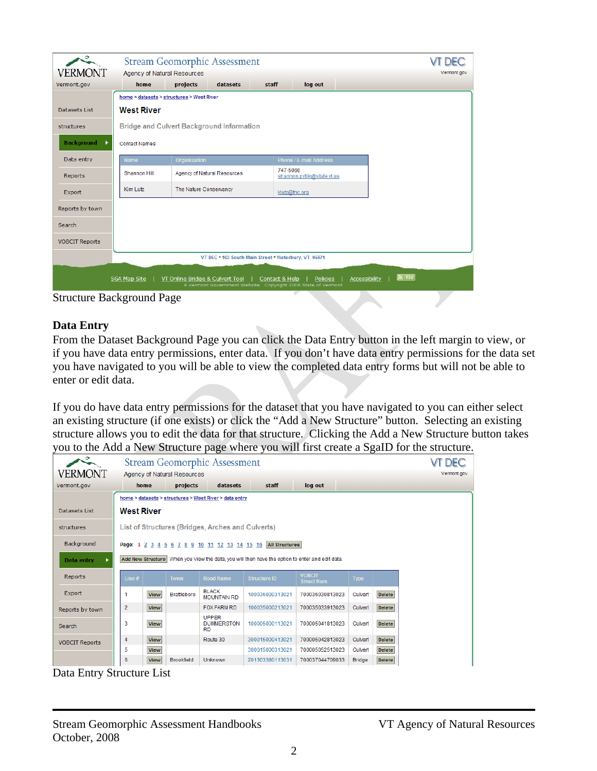<span id="page-3-0"></span>

|                                                                                                                                                                                                        |                                                  | <b>Stream Geomorphic Assessment</b>       |                                        | <b>DEC</b>  |  |  |  |  |  |
|--------------------------------------------------------------------------------------------------------------------------------------------------------------------------------------------------------|--------------------------------------------------|-------------------------------------------|----------------------------------------|-------------|--|--|--|--|--|
| <b>VERMONT</b>                                                                                                                                                                                         | <b>Agency of Natural Resources</b>               |                                           |                                        | Vermont.gov |  |  |  |  |  |
| Vermont.gov                                                                                                                                                                                            | home                                             | projects<br>datasets                      | staff<br>log out                       |             |  |  |  |  |  |
|                                                                                                                                                                                                        |                                                  | home > datasets > structures > West River |                                        |             |  |  |  |  |  |
| <b>Datasets List</b>                                                                                                                                                                                   | <b>West River</b>                                |                                           |                                        |             |  |  |  |  |  |
| structures                                                                                                                                                                                             | <b>Bridge and Culvert Background Information</b> |                                           |                                        |             |  |  |  |  |  |
| <b>Background</b><br>٠                                                                                                                                                                                 | <b>Contact Names</b>                             |                                           |                                        |             |  |  |  |  |  |
| Data entry                                                                                                                                                                                             | <b>Name</b>                                      | Organization                              | <b>Phone / E-mail Address</b>          |             |  |  |  |  |  |
| Reports                                                                                                                                                                                                | <b>Shannon Hill</b>                              | Agency of Natural Resources               | 747-5066<br>shannon.pytlik@state.vt.us |             |  |  |  |  |  |
| Export                                                                                                                                                                                                 | Kim Lutz                                         | The Nature Conservancy                    | klutz@tnc.org                          |             |  |  |  |  |  |
| Reports by town                                                                                                                                                                                        |                                                  |                                           |                                        |             |  |  |  |  |  |
| Search                                                                                                                                                                                                 |                                                  |                                           |                                        |             |  |  |  |  |  |
| <b>VOBCIT Reports</b>                                                                                                                                                                                  |                                                  |                                           |                                        |             |  |  |  |  |  |
| VT DEC . 103 South Main Street . Waterbury, VT 05671                                                                                                                                                   |                                                  |                                           |                                        |             |  |  |  |  |  |
| $N$ RSS<br>SGA Map Site<br>Policies<br>Accessibility<br>VT Online Bridge & Culvert Tool<br>Contact & Help<br>A Vermont Government Website Copyright 2008 State of Vermont<br>Structure Background Dage |                                                  |                                           |                                        |             |  |  |  |  |  |

Structure Background Page

#### <span id="page-3-1"></span>**Data Entry**

From the Dataset Background Page you can click the Data Entry button in the left margin to view, or if you have data entry permissions, enter data. If you don't have data entry permissions for the data set you have navigated to you will be able to view the completed data entry forms but will not be able to enter or edit data.

If you do have data entry permissions for the dataset that you have navigated to you can either select an existing structure (if one exists) or click the "Add a New Structure" button. Selecting an existing structure allows you to edit the data for that structure. Clicking the Add a New Structure button takes you to the Add a New Structure page where you will first create a SgaID for the structure.

| っ                                                      |                                                                                                 | <b>Stream Geomorphic Assessment</b> |                             |                                                |                       |                                    |               |               |             |  |
|--------------------------------------------------------|-------------------------------------------------------------------------------------------------|-------------------------------------|-----------------------------|------------------------------------------------|-----------------------|------------------------------------|---------------|---------------|-------------|--|
| <b>VERMONT</b>                                         |                                                                                                 |                                     | Agency of Natural Resources |                                                |                       |                                    |               |               | Vermont.gov |  |
| Vermont.gov                                            |                                                                                                 | home                                | projects                    | datasets                                       | staff                 | log out                            |               |               |             |  |
| home > datasets > structures > West River > data entry |                                                                                                 |                                     |                             |                                                |                       |                                    |               |               |             |  |
| Datasets List                                          | <b>West River</b>                                                                               |                                     |                             |                                                |                       |                                    |               |               |             |  |
| structures                                             | List of Structures (Bridges, Arches and Culverts)                                               |                                     |                             |                                                |                       |                                    |               |               |             |  |
| Background                                             |                                                                                                 |                                     |                             | Page: 1 2 3 4 5 6 7 8 9 10 11 12 13 14 15 16   | <b>All Structures</b> |                                    |               |               |             |  |
| ь<br>Data entry                                        | Add New Structure When you View the data, you will then have the option to enter and edit data. |                                     |                             |                                                |                       |                                    |               |               |             |  |
| <b>Reports</b>                                         | Line $#$                                                                                        |                                     | <b>Town</b>                 | <b>Road Name</b>                               | <b>Structure ID</b>   | <b>VOBCIT</b><br><b>Struct Num</b> | <b>Type</b>   |               |             |  |
| <b>Export</b>                                          | 1                                                                                               | <b>View</b>                         | <b>Brattleboro</b>          | <b>BLACK</b><br><b>MOUNTAIN RD</b>             | 100036000313021       | 700036030813023                    | Culvert       | <b>Delete</b> |             |  |
| Reports by town                                        | $\overline{2}$                                                                                  | <b>View</b>                         |                             | <b>FOX FARM RD</b>                             | 100035000213021       | 700035033913023                    | Culvert       | <b>Delete</b> |             |  |
| Search                                                 | 3                                                                                               | <b>View</b>                         |                             | <b>UPPER</b><br><b>DUMMERSTON</b><br><b>RD</b> | 100005000113021       | 700005041813023                    | Culvert       | <b>Delete</b> |             |  |
| <b>VOBCIT Reports</b>                                  | 4                                                                                               | <b>View</b>                         |                             | Route 30                                       | 300015000413021       | 700005042813023                    | Culvert       | <b>Delete</b> |             |  |
|                                                        | 5                                                                                               | <b>View</b>                         |                             |                                                | 300015000313021       | 700005052513023                    | Culvert       | <b>Delete</b> |             |  |
|                                                        | 6                                                                                               | <b>View</b>                         | <b>Brookfield</b>           | Unknown                                        | 201303380113031       | 700037044709033                    | <b>Bridge</b> | <b>Delete</b> |             |  |

Data Entry Structure List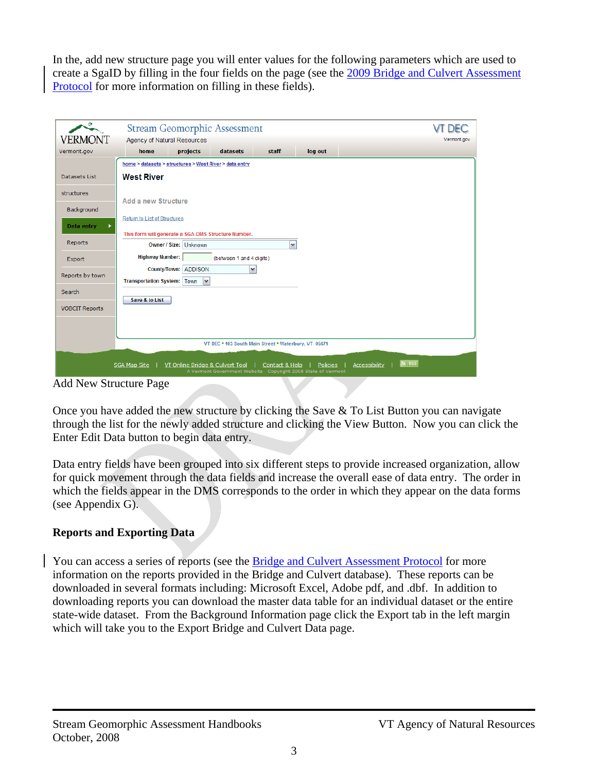<span id="page-4-0"></span>In the, add new structure page you will enter values for the following parameters which are used to create a SgaID by filling in the four fields on the page (see the [2009 Bridge and Culvert Assessment](http://www.anr.state.vt.us/dec/waterq/rivers/docs/rv_SGAB&CProtocols.pdf)  [Protocol](http://www.anr.state.vt.us/dec/waterq/rivers/docs/rv_SGAB&CProtocols.pdf) for more information on filling in these fields).

| 0.                                                                                                                                                                                                                                                                                                                                                                       | <b>Stream Geomorphic Assessment</b>                    |                                      |                          |                                                                                |          |                          |  |  |
|--------------------------------------------------------------------------------------------------------------------------------------------------------------------------------------------------------------------------------------------------------------------------------------------------------------------------------------------------------------------------|--------------------------------------------------------|--------------------------------------|--------------------------|--------------------------------------------------------------------------------|----------|--------------------------|--|--|
| VERMONT                                                                                                                                                                                                                                                                                                                                                                  | <b>Agency of Natural Resources</b>                     |                                      |                          |                                                                                |          | Vermont.gov              |  |  |
| Vermont.gov                                                                                                                                                                                                                                                                                                                                                              | home                                                   | projects                             | datasets                 | staff                                                                          | log out  |                          |  |  |
|                                                                                                                                                                                                                                                                                                                                                                          | home > datasets > structures > West River > data entry |                                      |                          |                                                                                |          |                          |  |  |
| Datasets List                                                                                                                                                                                                                                                                                                                                                            | <b>West River</b>                                      |                                      |                          |                                                                                |          |                          |  |  |
| structures                                                                                                                                                                                                                                                                                                                                                               | <b>Add a new Structure</b>                             |                                      |                          |                                                                                |          |                          |  |  |
| Background                                                                                                                                                                                                                                                                                                                                                               |                                                        |                                      |                          |                                                                                |          |                          |  |  |
| Data entry<br>٠                                                                                                                                                                                                                                                                                                                                                          | Return to List of Structures                           |                                      |                          |                                                                                |          |                          |  |  |
| Reports                                                                                                                                                                                                                                                                                                                                                                  | This form will generate a SGA-DMS Structure Number.    | Owner / Size: Unknown                |                          | $\checkmark$                                                                   |          |                          |  |  |
| Export                                                                                                                                                                                                                                                                                                                                                                   | <b>Highway Number:</b>                                 |                                      | (between 1 and 4 digits) |                                                                                |          |                          |  |  |
| Reports by town                                                                                                                                                                                                                                                                                                                                                          | <b>Transportation System: Town</b>                     | County/Town: ADDISON<br>$\checkmark$ | $\checkmark$             |                                                                                |          |                          |  |  |
| Search                                                                                                                                                                                                                                                                                                                                                                   |                                                        |                                      |                          |                                                                                |          |                          |  |  |
| <b>VOBCIT Reports</b>                                                                                                                                                                                                                                                                                                                                                    | Save & to List                                         |                                      |                          |                                                                                |          |                          |  |  |
|                                                                                                                                                                                                                                                                                                                                                                          |                                                        |                                      |                          |                                                                                |          |                          |  |  |
|                                                                                                                                                                                                                                                                                                                                                                          |                                                        |                                      |                          | VT DEC . 103 South Main Street . Waterbury, VT 05671                           |          |                          |  |  |
| $\lambda$ 11 $\lambda$ 11 $\lambda$ 11 $\lambda$ 11 $\lambda$ 11 $\lambda$ 11 $\lambda$ 11 $\lambda$ 11 $\lambda$ 11 $\lambda$ 11 $\lambda$ 11 $\lambda$ 11 $\lambda$ 11 $\lambda$ 11 $\lambda$ 11 $\lambda$ 11 $\lambda$ 11 $\lambda$ 11 $\lambda$ 11 $\lambda$ 11 $\lambda$ 11 $\lambda$ 11 $\lambda$ 11 $\lambda$ 11 $\lambda$ 11 $\lambda$ 11 $\lambda$ 11 $\lambda$ | <b>SGA Map Site</b>                                    | VT Online Bridge & Culvert Tool      |                          | Contact & Help<br>A Vermont Government Website Copyright 2008 State of Vermont | Policies | $N$ RSS<br>Accessibility |  |  |

Add New Structure Page

Once you have added the new structure by clicking the Save & To List Button you can navigate through the list for the newly added structure and clicking the View Button. Now you can click the Enter Edit Data button to begin data entry.

Data entry fields have been grouped into six different steps to provide increased organization, allow for quick movement through the data fields and increase the overall ease of data entry. The order in which the fields appear in the DMS corresponds to the order in which they appear on the data forms (see Appendix G).

# <span id="page-4-1"></span>**Reports and Exporting Data**

You can access a series of reports (see the [Bridge and Culvert Assessment Protocol](http://www.anr.state.vt.us/dec/waterq/rivers/docs/rv_SGAB&CProtocols.pdf) for more information on the reports provided in the Bridge and Culvert database). These reports can be downloaded in several formats including: Microsoft Excel, Adobe pdf, and .dbf. In addition to downloading reports you can download the master data table for an individual dataset or the entire state-wide dataset. From the Background Information page click the Export tab in the left margin which will take you to the Export Bridge and Culvert Data page.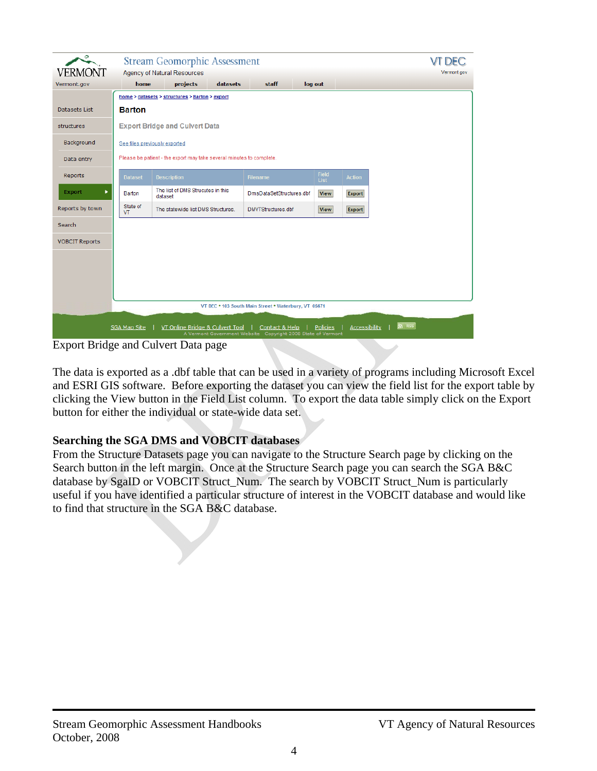<span id="page-5-0"></span>

| 0<br>VERMONT                                                                                                    |                                                                      | <b>Stream Geomorphic Assessment</b><br><b>Agency of Natural Resources</b> |          |                                                                                |                      |                      |                             | <b>DEC</b><br>Vermont.gov |  |  |
|-----------------------------------------------------------------------------------------------------------------|----------------------------------------------------------------------|---------------------------------------------------------------------------|----------|--------------------------------------------------------------------------------|----------------------|----------------------|-----------------------------|---------------------------|--|--|
| Vermont.gov                                                                                                     | home                                                                 | projects                                                                  | datasets | staff                                                                          | log out              |                      |                             |                           |  |  |
|                                                                                                                 |                                                                      | home > datasets > structures > Barton > export                            |          |                                                                                |                      |                      |                             |                           |  |  |
| Datasets List                                                                                                   | <b>Barton</b>                                                        |                                                                           |          |                                                                                |                      |                      |                             |                           |  |  |
| structures                                                                                                      | <b>Export Bridge and Culvert Data</b>                                |                                                                           |          |                                                                                |                      |                      |                             |                           |  |  |
| Background                                                                                                      | See files previously exported                                        |                                                                           |          |                                                                                |                      |                      |                             |                           |  |  |
| Data entry                                                                                                      | Please be patient - the export may take several minutes to complete. |                                                                           |          |                                                                                |                      |                      |                             |                           |  |  |
| Reports                                                                                                         | <b>Dataset</b>                                                       | <b>Description</b>                                                        |          | <b>Filename</b>                                                                | <b>Field</b><br>List | <b>Action</b>        |                             |                           |  |  |
| <b>Export</b>                                                                                                   | Barton                                                               | The list of DMS Strucutes in this<br>dataset                              |          | DmsDataSetStructures.dbf                                                       | <b>View</b>          | <b>Export</b>        |                             |                           |  |  |
| Reports by town                                                                                                 | State of<br>VT                                                       | The statewide list DMS Structures.                                        |          | DMVTStructures.dbf                                                             | <b>View</b>          | <b>Export</b>        |                             |                           |  |  |
| Search                                                                                                          |                                                                      |                                                                           |          |                                                                                |                      |                      |                             |                           |  |  |
| <b>VOBCIT Reports</b>                                                                                           |                                                                      |                                                                           |          |                                                                                |                      |                      |                             |                           |  |  |
|                                                                                                                 |                                                                      |                                                                           |          |                                                                                |                      |                      |                             |                           |  |  |
|                                                                                                                 |                                                                      |                                                                           |          |                                                                                |                      |                      |                             |                           |  |  |
|                                                                                                                 |                                                                      |                                                                           |          |                                                                                |                      |                      |                             |                           |  |  |
|                                                                                                                 |                                                                      |                                                                           |          | VT DEC . 103 South Main Street . Waterbury, VT 05671                           |                      |                      |                             |                           |  |  |
|                                                                                                                 |                                                                      |                                                                           |          |                                                                                |                      |                      |                             |                           |  |  |
|                                                                                                                 | <b>SGA Map Site</b>                                                  | VT Online Bridge & Culvert Tool                                           |          | Contact & Help<br>A Vermont Government Website Copyright 2008 State of Vermont | Policies             | <b>Accessibility</b> | $\overline{\mathbf{N}}$ RSS |                           |  |  |
| $E_{\text{max}}$ and $D_{\text{max}}(A_{\text{max}})$ and $D_{\text{max}}(D_{\text{max}})$ and $D_{\text{max}}$ |                                                                      |                                                                           |          |                                                                                |                      |                      |                             |                           |  |  |

Export Bridge and Culvert Data page

The data is exported as a .dbf table that can be used in a variety of programs including Microsoft Excel and ESRI GIS software. Before exporting the dataset you can view the field list for the export table by clicking the View button in the Field List column. To export the data table simply click on the Export button for either the individual or state-wide data set.

## <span id="page-5-1"></span>**Searching the SGA DMS and VOBCIT databases**

From the Structure Datasets page you can navigate to the Structure Search page by clicking on the Search button in the left margin. Once at the Structure Search page you can search the SGA B&C database by SgaID or VOBCIT Struct\_Num. The search by VOBCIT Struct\_Num is particularly useful if you have identified a particular structure of interest in the VOBCIT database and would like to find that structure in the SGA B&C database.